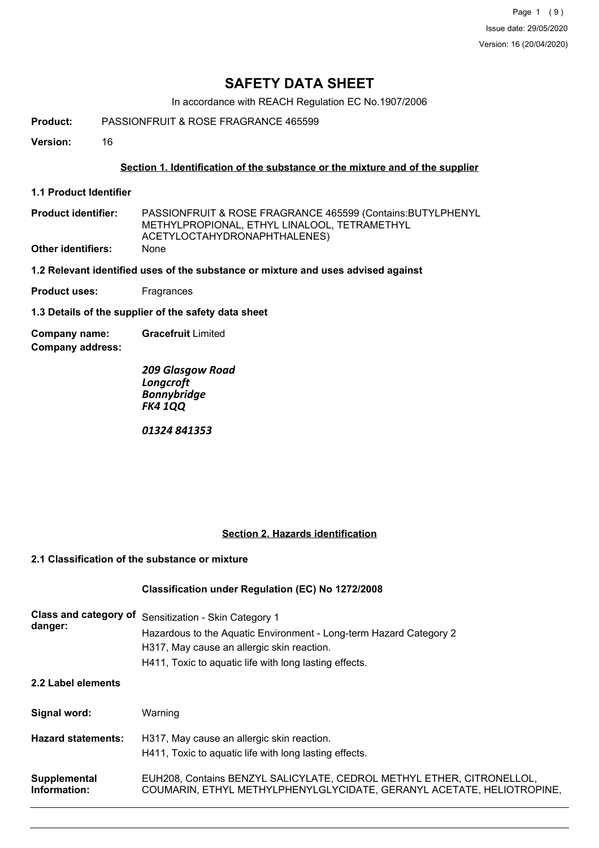Page 1 (9) Issue date: 29/05/2020 Version: 16 (20/04/2020)

## **SAFETY DATA SHEET**

In accordance with REACH Regulation EC No.1907/2006

**Product:** PASSIONFRUIT & ROSE FRAGRANCE 465599

**Version:** 16

## **Section 1. Identification of the substance or the mixture and of the supplier**

**1.1 Product Identifier**

| <b>Product identifier:</b> | PASSIONFRUIT & ROSE FRAGRANCE 465599 (Contains: BUTYLPHENYL |
|----------------------------|-------------------------------------------------------------|
|                            | METHYLPROPIONAL. ETHYL LINALOOL. TETRAMETHYL                |
|                            | ACETYLOCTAHYDRONAPHTHALENES)                                |
| <b>Other identifiers:</b>  | <b>None</b>                                                 |

**1.2 Relevant identified uses of the substance or mixture and uses advised against**

**Product uses:** Fragrances

**1.3 Details of the supplier of the safety data sheet**

**Company address: Company name: Gracefruit** Limited

> *209 Glasgow Road Longcroft Bonnybridge FK4 1QQ*

*01324 841353*

## **Section 2. Hazards identification**

## **2.1 Classification of the substance or mixture**

## **Classification under Regulation (EC) No 1272/2008**

| Class and category of<br>danger: | Sensitization - Skin Category 1<br>Hazardous to the Aquatic Environment - Long-term Hazard Category 2<br>H317, May cause an allergic skin reaction.<br>H411, Toxic to aquatic life with long lasting effects. |
|----------------------------------|---------------------------------------------------------------------------------------------------------------------------------------------------------------------------------------------------------------|
| 2.2 Label elements               |                                                                                                                                                                                                               |
| Signal word:                     | Warning                                                                                                                                                                                                       |
| <b>Hazard statements:</b>        | H317, May cause an allergic skin reaction.<br>H411, Toxic to aquatic life with long lasting effects.                                                                                                          |
| Supplemental<br>Information:     | EUH208, Contains BENZYL SALICYLATE, CEDROL METHYL ETHER, CITRONELLOL,<br>COUMARIN, ETHYL METHYLPHENYLGLYCIDATE, GERANYL ACETATE, HELIOTROPINE,                                                                |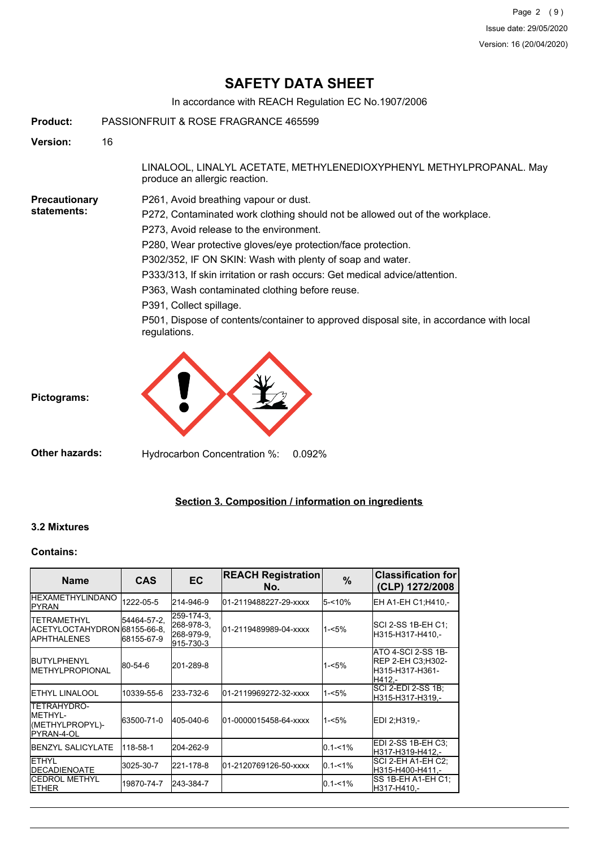# **SAFETY DATA SHEET**

In accordance with REACH Regulation EC No.1907/2006

**Product:** PASSIONFRUIT & ROSE FRAGRANCE 465599

**Version:** 16

LINALOOL, LINALYL ACETATE, METHYLENEDIOXYPHENYL METHYLPROPANAL. May produce an allergic reaction.

#### **Precautionary statements:**

P261, Avoid breathing vapour or dust.

P272, Contaminated work clothing should not be allowed out of the workplace.

P273, Avoid release to the environment.

P280, Wear protective gloves/eye protection/face protection.

P302/352, IF ON SKIN: Wash with plenty of soap and water.

P333/313, If skin irritation or rash occurs: Get medical advice/attention.

P363, Wash contaminated clothing before reuse.

P391, Collect spillage.

P501, Dispose of contents/container to approved disposal site, in accordance with local regulations.



**Other hazards:** Hydrocarbon Concentration %: 0.092%

## **Section 3. Composition / information on ingredients**

## **3.2 Mixtures**

#### **Contains:**

| <b>Name</b>                                                                | <b>CAS</b>                | <b>EC</b>                                           | <b>REACH Registration</b><br>No. | $\%$        | <b>Classification for</b><br>(CLP) 1272/2008                                |
|----------------------------------------------------------------------------|---------------------------|-----------------------------------------------------|----------------------------------|-------------|-----------------------------------------------------------------------------|
| <b>IHEXAMETHYLINDANO</b><br>IPYRAN                                         | 1222-05-5                 | 214-946-9                                           | l01-2119488227-29-xxxx           | $5 - 10%$   | EH A1-EH C1:H410.-                                                          |
| <b>TETRAMETHYL</b><br>ACETYLOCTAHYDRON 68155-66-8.<br><b>I</b> APHTHALENES | 54464-57-2,<br>68155-67-9 | 259-174-3,<br>268-978-3.<br>268-979-9,<br>915-730-3 | 01-2119489989-04-xxxx            | $1 - 5%$    | SCI 2-SS 1B-EH C1;<br>H315-H317-H410.-                                      |
| <b>BUTYLPHENYL</b><br><b>IMETHYLPROPIONAL</b>                              | 80-54-6                   | 201-289-8                                           |                                  | $1 - 5%$    | ATO 4-SCI 2-SS 1B-<br><b>REP 2-EH C3:H302-</b><br>H315-H317-H361-<br>H412.- |
| <b>IETHYL LINALOOL</b>                                                     | 10339-55-6                | 233-732-6                                           | l01-2119969272-32-xxxx           | $1 - 5%$    | ISCI 2-EDI 2-SS 1B:<br>H315-H317-H319.-                                     |
| TETRAHYDRO-<br><b>IMETHYL-</b><br>(METHYLPROPYL)-<br><b>I</b> PYRAN-4-OL   | 63500-71-0                | 405-040-6                                           | 01-0000015458-64-xxxx            | $1 - 5%$    | EDI 2:H319,-                                                                |
| <b>IBENZYL SALICYLATE</b>                                                  | 118-58-1                  | 204-262-9                                           |                                  | $0.1 - 1\%$ | IEDI 2-SS 1B-EH C3:<br>lH317-H319-H412.-                                    |
| IETHYL<br><b>IDECADIENOATE</b>                                             | 3025-30-7                 | 221-178-8                                           | 01-2120769126-50-xxxx            | $0.1 - 1\%$ | SCI 2-EH A1-EH C2:<br>lH315-H400-H411.-                                     |
| <b>I</b> CEDROL METHYL<br><b>IETHER</b>                                    | 19870-74-7                | 243-384-7                                           |                                  | $0.1 - 1%$  | ISS 1B-EH A1-EH C1:<br>H317-H410.-                                          |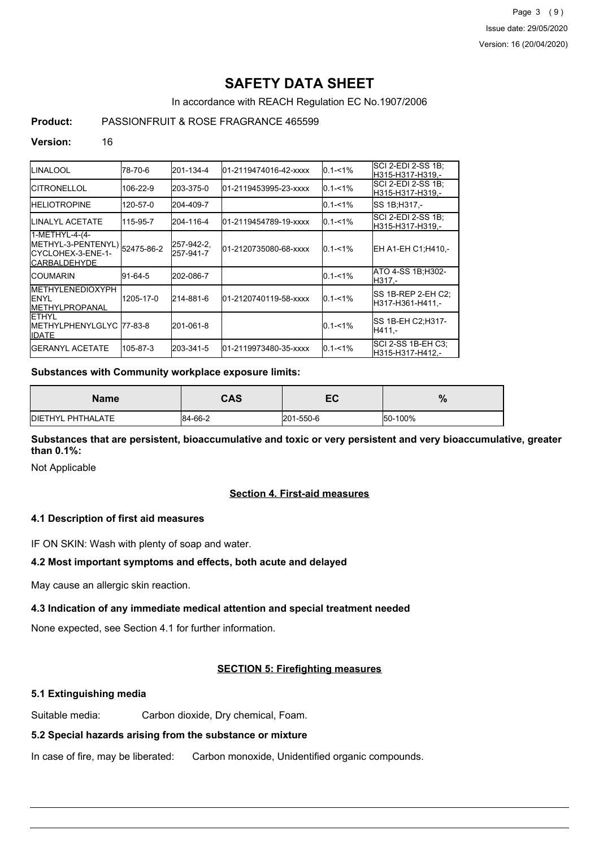Page 3 (9) Issue date: 29/05/2020 Version: 16 (20/04/2020)

# **SAFETY DATA SHEET**

In accordance with REACH Regulation EC No.1907/2006

## **Product:** PASSIONFRUIT & ROSE FRAGRANCE 465599

#### **Version:** 16

| ILINALOOL                                                                                      | 78-70-6   | 201-134-4               | l01-2119474016-42-xxxx | $0.1 - 1\%$ | SCI 2-EDI 2-SS 1B;<br>H315-H317-H319.-   |
|------------------------------------------------------------------------------------------------|-----------|-------------------------|------------------------|-------------|------------------------------------------|
| ICITRONELLOL                                                                                   | 106-22-9  | 203-375-0               | l01-2119453995-23-xxxx | $0.1 - 1%$  | SCI 2-EDI 2-SS 1B;<br>lH315-H317-H319.-  |
| <b>IHELIOTROPINE</b>                                                                           | 120-57-0  | 204-409-7               |                        | $0.1 - 1\%$ | SS 1B;H317,-                             |
| ILINALYL ACETATE                                                                               | 115-95-7  | 204-116-4               | 01-2119454789-19-xxxx  | $0.1 - 1\%$ | ISCI 2-EDI 2-SS 1B:<br>H315-H317-H319.-  |
| 1-METHYL-4-(4-<br>METHYL-3-PENTENYL) 52475-86-2<br>ICYCLOHEX-3-ENE-1-<br><b>I</b> CARBALDEHYDE |           | 257-942-2,<br>257-941-7 | 01-2120735080-68-xxxx  | $0.1 - 1\%$ | EH A1-EH C1;H410,-                       |
| ICOUMARIN                                                                                      | 91-64-5   | 202-086-7               |                        | $0.1 - 1%$  | ATO 4-SS 1B;H302-<br>H317,-              |
| IMETHYLENEDIOXYPH<br><b>IENYL</b><br><b>IMETHYLPROPANAL</b>                                    | 1205-17-0 | 214-881-6               | 01-2120740119-58-xxxx  | $0.1 - 1\%$ | ISS 1B-REP 2-EH C2:<br>lH317-H361-H411.- |
| IETHYL<br>IMETHYLPHENYLGLYC  77-83-8<br><b>I</b> IDATE                                         |           | 201-061-8               |                        | $0.1 - 1\%$ | ISS 1B-EH C2;H317-<br> H411.-            |
| <b>I</b> GERANYL ACETATE                                                                       | 105-87-3  | 203-341-5               | l01-2119973480-35-xxxx | $0.1 - 1\%$ | ISCI 2-SS 1B-EH C3:<br>H315-H317-H412.-  |

#### **Substances with Community workplace exposure limits:**

| Name              | CAS     | EC        | $\mathbf{a}$<br>70 |
|-------------------|---------|-----------|--------------------|
| DIETHYL PHTHALATE | 84-66-2 | 201-550-6 | 50-100%            |

**Substances that are persistent, bioaccumulative and toxic or very persistent and very bioaccumulative, greater than 0.1%:**

Not Applicable

## **Section 4. First-aid measures**

### **4.1 Description of first aid measures**

IF ON SKIN: Wash with plenty of soap and water.

### **4.2 Most important symptoms and effects, both acute and delayed**

May cause an allergic skin reaction.

### **4.3 Indication of any immediate medical attention and special treatment needed**

None expected, see Section 4.1 for further information.

## **SECTION 5: Firefighting measures**

#### **5.1 Extinguishing media**

Suitable media: Carbon dioxide, Dry chemical, Foam.

## **5.2 Special hazards arising from the substance or mixture**

In case of fire, may be liberated: Carbon monoxide, Unidentified organic compounds.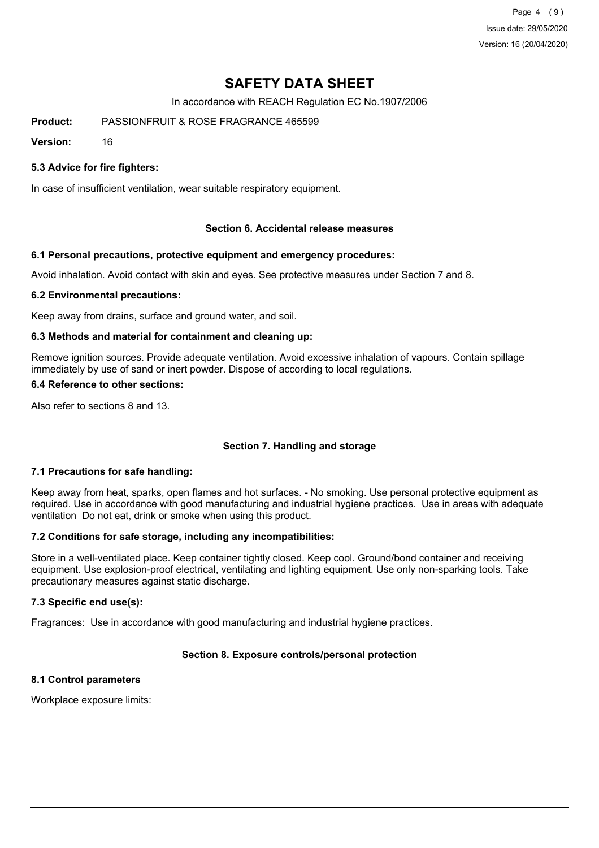Page 4 (9) Issue date: 29/05/2020 Version: 16 (20/04/2020)

# **SAFETY DATA SHEET**

In accordance with REACH Regulation EC No.1907/2006

**Product:** PASSIONFRUIT & ROSE FRAGRANCE 465599

**Version:** 16

## **5.3 Advice for fire fighters:**

In case of insufficient ventilation, wear suitable respiratory equipment.

### **Section 6. Accidental release measures**

### **6.1 Personal precautions, protective equipment and emergency procedures:**

Avoid inhalation. Avoid contact with skin and eyes. See protective measures under Section 7 and 8.

### **6.2 Environmental precautions:**

Keep away from drains, surface and ground water, and soil.

### **6.3 Methods and material for containment and cleaning up:**

Remove ignition sources. Provide adequate ventilation. Avoid excessive inhalation of vapours. Contain spillage immediately by use of sand or inert powder. Dispose of according to local regulations.

#### **6.4 Reference to other sections:**

Also refer to sections 8 and 13.

### **Section 7. Handling and storage**

### **7.1 Precautions for safe handling:**

Keep away from heat, sparks, open flames and hot surfaces. - No smoking. Use personal protective equipment as required. Use in accordance with good manufacturing and industrial hygiene practices. Use in areas with adequate ventilation Do not eat, drink or smoke when using this product.

### **7.2 Conditions for safe storage, including any incompatibilities:**

Store in a well-ventilated place. Keep container tightly closed. Keep cool. Ground/bond container and receiving equipment. Use explosion-proof electrical, ventilating and lighting equipment. Use only non-sparking tools. Take precautionary measures against static discharge.

### **7.3 Specific end use(s):**

Fragrances: Use in accordance with good manufacturing and industrial hygiene practices.

## **Section 8. Exposure controls/personal protection**

## **8.1 Control parameters**

Workplace exposure limits: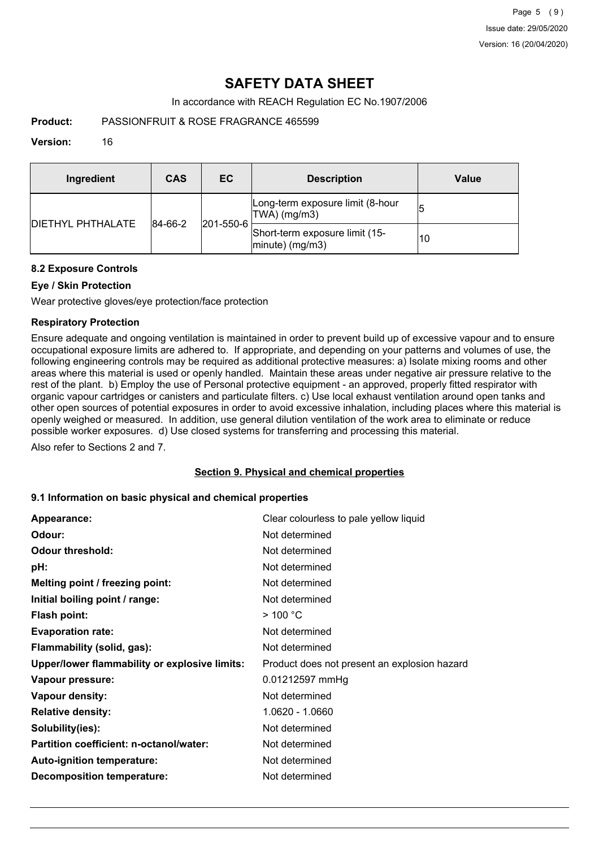# **SAFETY DATA SHEET**

In accordance with REACH Regulation EC No.1907/2006

**Product:** PASSIONFRUIT & ROSE FRAGRANCE 465599

## **Version:** 16

| Ingredient                | CAS     | EC                                               | <b>Description</b>                                   | Value |
|---------------------------|---------|--------------------------------------------------|------------------------------------------------------|-------|
| <b>IDIETHYL PHTHALATE</b> | 84-66-2 | Long-term exposure limit (8-hour<br>TWA) (mg/m3) |                                                      |       |
|                           |         | $ 201 - 550 - 6 $                                | Short-term exposure limit (15-<br>$ minute)$ (mg/m3) | 10    |

## **8.2 Exposure Controls**

## **Eye / Skin Protection**

Wear protective gloves/eye protection/face protection

## **Respiratory Protection**

Ensure adequate and ongoing ventilation is maintained in order to prevent build up of excessive vapour and to ensure occupational exposure limits are adhered to. If appropriate, and depending on your patterns and volumes of use, the following engineering controls may be required as additional protective measures: a) Isolate mixing rooms and other areas where this material is used or openly handled. Maintain these areas under negative air pressure relative to the rest of the plant. b) Employ the use of Personal protective equipment - an approved, properly fitted respirator with organic vapour cartridges or canisters and particulate filters. c) Use local exhaust ventilation around open tanks and other open sources of potential exposures in order to avoid excessive inhalation, including places where this material is openly weighed or measured. In addition, use general dilution ventilation of the work area to eliminate or reduce possible worker exposures. d) Use closed systems for transferring and processing this material.

Also refer to Sections 2 and 7.

### **Section 9. Physical and chemical properties**

### **9.1 Information on basic physical and chemical properties**

| Appearance:                                   | Clear colourless to pale yellow liquid       |
|-----------------------------------------------|----------------------------------------------|
| Odour:                                        | Not determined                               |
| <b>Odour threshold:</b>                       | Not determined                               |
| pH:                                           | Not determined                               |
| Melting point / freezing point:               | Not determined                               |
| Initial boiling point / range:                | Not determined                               |
| <b>Flash point:</b>                           | $>$ 100 °C                                   |
| <b>Evaporation rate:</b>                      | Not determined                               |
| Flammability (solid, gas):                    | Not determined                               |
| Upper/lower flammability or explosive limits: | Product does not present an explosion hazard |
| Vapour pressure:                              | 0.01212597 mmHg                              |
| Vapour density:                               | Not determined                               |
| <b>Relative density:</b>                      | 1.0620 - 1.0660                              |
| Solubility(ies):                              | Not determined                               |
| Partition coefficient: n-octanol/water:       | Not determined                               |
| Auto-ignition temperature:                    | Not determined                               |
| <b>Decomposition temperature:</b>             | Not determined                               |
|                                               |                                              |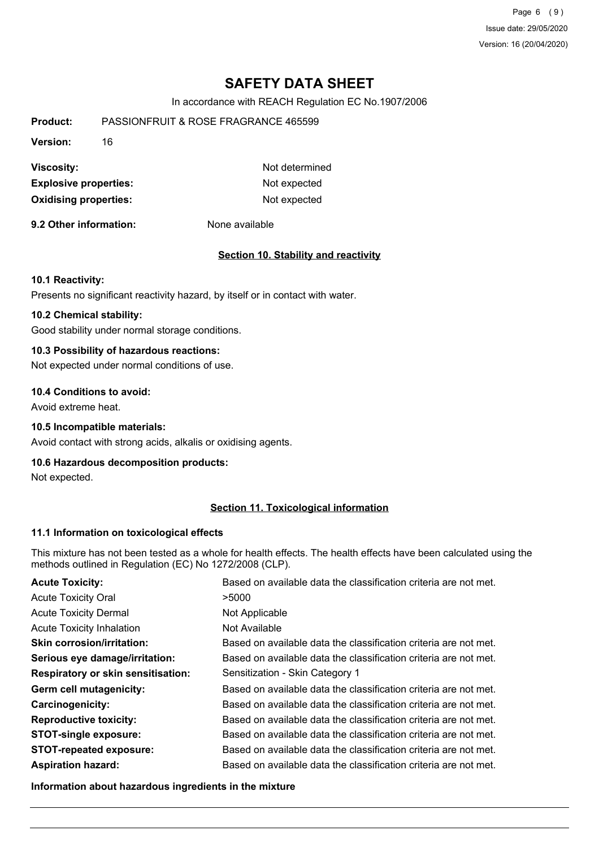Page 6 (9) Issue date: 29/05/2020 Version: 16 (20/04/2020)

# **SAFETY DATA SHEET**

In accordance with REACH Regulation EC No.1907/2006

| Product:                     | PASSIONERUIT & ROSE FRAGRANCE 465599 |  |  |
|------------------------------|--------------------------------------|--|--|
| <b>Version:</b><br>16        |                                      |  |  |
| <b>Viscosity:</b>            | Not determined                       |  |  |
| <b>Explosive properties:</b> | Not expected                         |  |  |
| <b>Oxidising properties:</b> | Not expected                         |  |  |

**9.2 Other information:** None available

#### **Section 10. Stability and reactivity**

#### **10.1 Reactivity:**

Presents no significant reactivity hazard, by itself or in contact with water.

## **10.2 Chemical stability:**

Good stability under normal storage conditions.

## **10.3 Possibility of hazardous reactions:**

Not expected under normal conditions of use.

#### **10.4 Conditions to avoid:**

Avoid extreme heat.

## **10.5 Incompatible materials:**

Avoid contact with strong acids, alkalis or oxidising agents.

## **10.6 Hazardous decomposition products:**

Not expected.

## **Section 11. Toxicological information**

#### **11.1 Information on toxicological effects**

This mixture has not been tested as a whole for health effects. The health effects have been calculated using the methods outlined in Regulation (EC) No 1272/2008 (CLP).

| <b>Acute Toxicity:</b>                    | Based on available data the classification criteria are not met. |
|-------------------------------------------|------------------------------------------------------------------|
| <b>Acute Toxicity Oral</b>                | >5000                                                            |
| <b>Acute Toxicity Dermal</b>              | Not Applicable                                                   |
| <b>Acute Toxicity Inhalation</b>          | Not Available                                                    |
| <b>Skin corrosion/irritation:</b>         | Based on available data the classification criteria are not met. |
| Serious eye damage/irritation:            | Based on available data the classification criteria are not met. |
| <b>Respiratory or skin sensitisation:</b> | Sensitization - Skin Category 1                                  |
| Germ cell mutagenicity:                   | Based on available data the classification criteria are not met. |
| <b>Carcinogenicity:</b>                   | Based on available data the classification criteria are not met. |
| <b>Reproductive toxicity:</b>             | Based on available data the classification criteria are not met. |
| <b>STOT-single exposure:</b>              | Based on available data the classification criteria are not met. |
| <b>STOT-repeated exposure:</b>            | Based on available data the classification criteria are not met. |
| <b>Aspiration hazard:</b>                 | Based on available data the classification criteria are not met. |

**Information about hazardous ingredients in the mixture**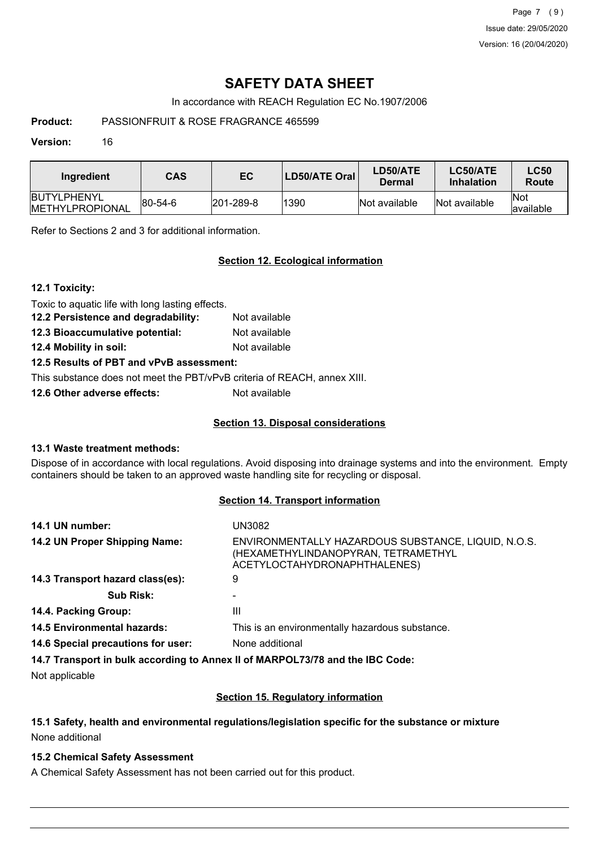Page 7 (9) Issue date: 29/05/2020 Version: 16 (20/04/2020)

# **SAFETY DATA SHEET**

In accordance with REACH Regulation EC No.1907/2006

**Product:** PASSIONFRUIT & ROSE FRAGRANCE 465599

### **Version:** 16

| Ingredient                              | <b>CAS</b>  | EC        | LD50/ATE Oral | LD50/ATE<br>Dermal | LC50/ATE<br><b>Inhalation</b> | <b>LC50</b><br>Route     |
|-----------------------------------------|-------------|-----------|---------------|--------------------|-------------------------------|--------------------------|
| IBUTYLPHENYL<br><b>IMETHYLPROPIONAL</b> | $ 80-54-6 $ | 201-289-8 | 1390          | Not available      | Not available                 | <b>Not</b><br>lavailable |

Refer to Sections 2 and 3 for additional information.

## **Section 12. Ecological information**

Toxic to aquatic life with long lasting effects.

**12.2 Persistence and degradability:** Not available

**12.3 Bioaccumulative potential:** Not available

**12.4 Mobility in soil:** Not available

## **12.5 Results of PBT and vPvB assessment:**

This substance does not meet the PBT/vPvB criteria of REACH, annex XIII.

**12.6 Other adverse effects:** Not available

## **Section 13. Disposal considerations**

### **13.1 Waste treatment methods:**

Dispose of in accordance with local regulations. Avoid disposing into drainage systems and into the environment. Empty containers should be taken to an approved waste handling site for recycling or disposal.

## **Section 14. Transport information**

| 14.1 UN number:                    | UN3082                                                                                                                     |
|------------------------------------|----------------------------------------------------------------------------------------------------------------------------|
| 14.2 UN Proper Shipping Name:      | ENVIRONMENTALLY HAZARDOUS SUBSTANCE, LIQUID, N.O.S.<br>(HEXAMETHYLINDANOPYRAN, TETRAMETHYL<br>ACETYLOCTAHYDRONAPHTHALENES) |
| 14.3 Transport hazard class(es):   | 9                                                                                                                          |
| <b>Sub Risk:</b>                   |                                                                                                                            |
| 14.4. Packing Group:               | Ш                                                                                                                          |
| <b>14.5 Environmental hazards:</b> | This is an environmentally hazardous substance.                                                                            |
| 14.6 Special precautions for user: | None additional                                                                                                            |
|                                    | 14.7 Transport in bulk according to Annex II of MARPOL73/78 and the IBC Code:                                              |

Not applicable

## **Section 15. Regulatory information**

## **15.1 Safety, health and environmental regulations/legislation specific for the substance or mixture** None additional

### **15.2 Chemical Safety Assessment**

A Chemical Safety Assessment has not been carried out for this product.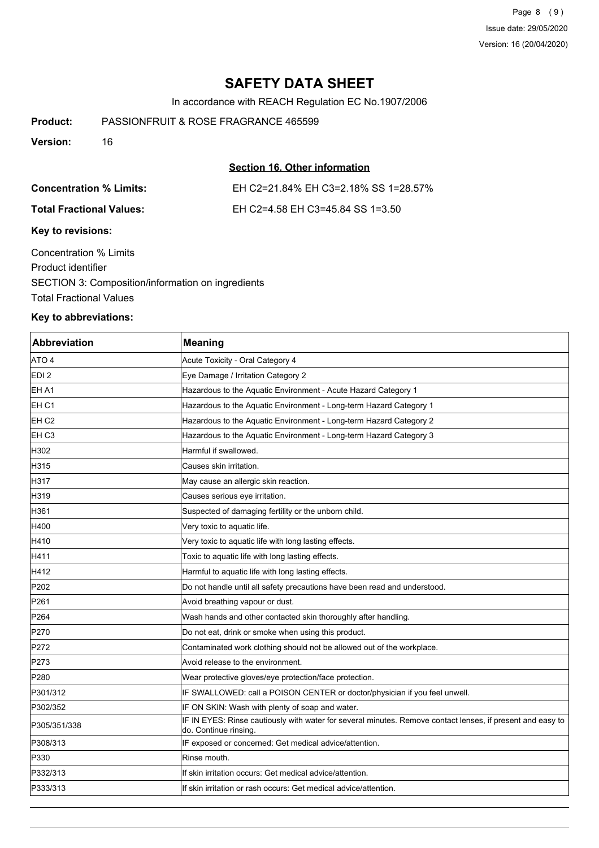Page 8 (9) Issue date: 29/05/2020 Version: 16 (20/04/2020)

## **SAFETY DATA SHEET**

In accordance with REACH Regulation EC No.1907/2006

**Product:** PASSIONFRUIT & ROSE FRAGRANCE 465599

**Version:** 16

## **Section 16. Other information**

| <b>Concentration % Limits:</b>  | EH C2=21.84% EH C3=2.18% SS 1=28.57% |  |
|---------------------------------|--------------------------------------|--|
| <b>Total Fractional Values:</b> | EH C2=4.58 EH C3=45.84 SS 1=3.50     |  |
| Key to revisions:               |                                      |  |
| Concentration % Limits          |                                      |  |
| Product identifier              |                                      |  |

SECTION 3: Composition/information on ingredients Total Fractional Values

## **Key to abbreviations:**

| Abbreviation     | <b>Meaning</b>                                                                                                                      |
|------------------|-------------------------------------------------------------------------------------------------------------------------------------|
| ATO 4            | Acute Toxicity - Oral Category 4                                                                                                    |
| EDI <sub>2</sub> | Eye Damage / Irritation Category 2                                                                                                  |
| EH A1            | Hazardous to the Aquatic Environment - Acute Hazard Category 1                                                                      |
| EH <sub>C1</sub> | Hazardous to the Aquatic Environment - Long-term Hazard Category 1                                                                  |
| EH <sub>C2</sub> | Hazardous to the Aquatic Environment - Long-term Hazard Category 2                                                                  |
| EH C3            | Hazardous to the Aquatic Environment - Long-term Hazard Category 3                                                                  |
| H302             | Harmful if swallowed.                                                                                                               |
| H315             | Causes skin irritation.                                                                                                             |
| H317             | May cause an allergic skin reaction.                                                                                                |
| H319             | Causes serious eye irritation.                                                                                                      |
| H361             | Suspected of damaging fertility or the unborn child.                                                                                |
| H400             | Very toxic to aquatic life.                                                                                                         |
| H410             | Very toxic to aquatic life with long lasting effects.                                                                               |
| H411             | Toxic to aquatic life with long lasting effects.                                                                                    |
| H412             | Harmful to aquatic life with long lasting effects.                                                                                  |
| P202             | Do not handle until all safety precautions have been read and understood.                                                           |
| P261             | Avoid breathing vapour or dust.                                                                                                     |
| P264             | Wash hands and other contacted skin thoroughly after handling.                                                                      |
| P270             | Do not eat, drink or smoke when using this product.                                                                                 |
| P272             | Contaminated work clothing should not be allowed out of the workplace.                                                              |
| P273             | Avoid release to the environment.                                                                                                   |
| P280             | Wear protective gloves/eye protection/face protection.                                                                              |
| P301/312         | IF SWALLOWED: call a POISON CENTER or doctor/physician if you feel unwell.                                                          |
| P302/352         | IF ON SKIN: Wash with plenty of soap and water.                                                                                     |
| P305/351/338     | IF IN EYES: Rinse cautiously with water for several minutes. Remove contact lenses, if present and easy to<br>do. Continue rinsing. |
| P308/313         | IF exposed or concerned: Get medical advice/attention.                                                                              |
| P330             | Rinse mouth.                                                                                                                        |
| P332/313         | If skin irritation occurs: Get medical advice/attention.                                                                            |
| P333/313         | If skin irritation or rash occurs: Get medical advice/attention.                                                                    |